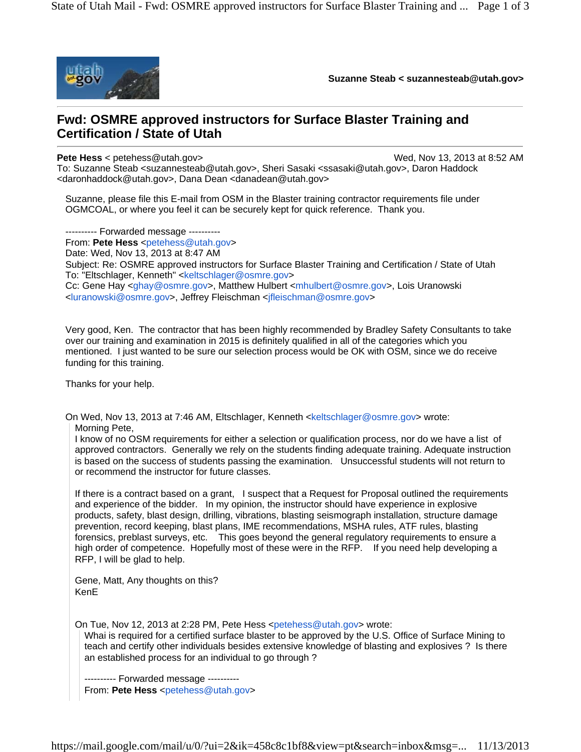

**Suzanne Steab < suzannesteab@utah.gov>** 

## **Fwd: OSMRE approved instructors for Surface Blaster Training and Certification / State of Utah**

<daronhaddock@utah.gov>, Dana Dean <danadean@utah.gov>

**Pete Hess** < petehess@utah.gov> Wed, Nov 13, 2013 at 8:52 AM To: Suzanne Steab <suzannesteab@utah.gov>, Sheri Sasaki <ssasaki@utah.gov>, Daron Haddock

Suzanne, please file this E-mail from OSM in the Blaster training contractor requirements file under OGMCOAL, or where you feel it can be securely kept for quick reference. Thank you.

---------- Forwarded message ---------- From: **Pete Hess** <petehess@utah.gov> Date: Wed, Nov 13, 2013 at 8:47 AM Subject: Re: OSMRE approved instructors for Surface Blaster Training and Certification / State of Utah To: "Eltschlager, Kenneth" <keltschlager@osmre.gov> Cc: Gene Hay <ghay@osmre.gov>, Matthew Hulbert <mhulbert@osmre.gov>, Lois Uranowski <luranowski@osmre.gov>, Jeffrey Fleischman <jfleischman@osmre.gov>

Very good, Ken. The contractor that has been highly recommended by Bradley Safety Consultants to take over our training and examination in 2015 is definitely qualified in all of the categories which you mentioned. I just wanted to be sure our selection process would be OK with OSM, since we do receive funding for this training.

Thanks for your help.

On Wed, Nov 13, 2013 at 7:46 AM, Eltschlager, Kenneth <keltschlager@osmre.gov> wrote:

Morning Pete,

I know of no OSM requirements for either a selection or qualification process, nor do we have a list of approved contractors. Generally we rely on the students finding adequate training. Adequate instruction is based on the success of students passing the examination. Unsuccessful students will not return to or recommend the instructor for future classes.

If there is a contract based on a grant, I suspect that a Request for Proposal outlined the requirements and experience of the bidder. In my opinion, the instructor should have experience in explosive products, safety, blast design, drilling, vibrations, blasting seismograph installation, structure damage prevention, record keeping, blast plans, IME recommendations, MSHA rules, ATF rules, blasting forensics, preblast surveys, etc. This goes beyond the general regulatory requirements to ensure a high order of competence. Hopefully most of these were in the RFP. If you need help developing a RFP, I will be glad to help.

Gene, Matt, Any thoughts on this? KenE

On Tue, Nov 12, 2013 at 2:28 PM, Pete Hess <petehess@utah.gov> wrote:

Whai is required for a certified surface blaster to be approved by the U.S. Office of Surface Mining to teach and certify other individuals besides extensive knowledge of blasting and explosives ? Is there an established process for an individual to go through ?

---------- Forwarded message ---------- From: Pete Hess <petehess@utah.gov>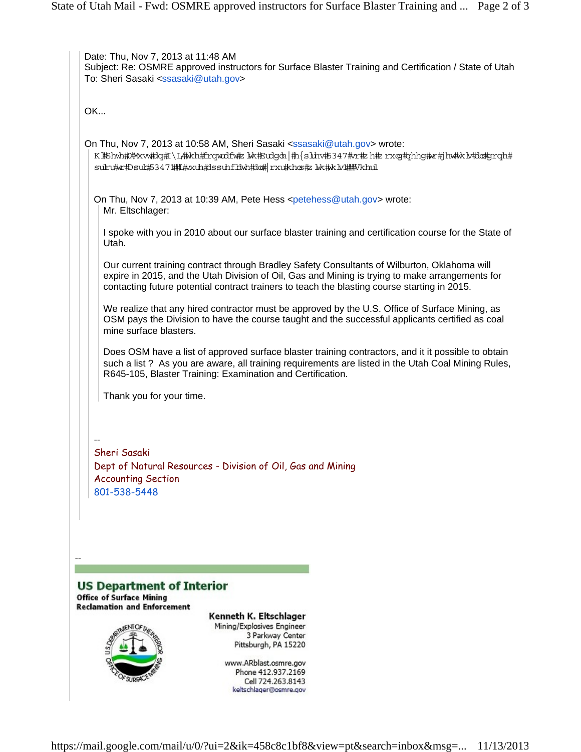